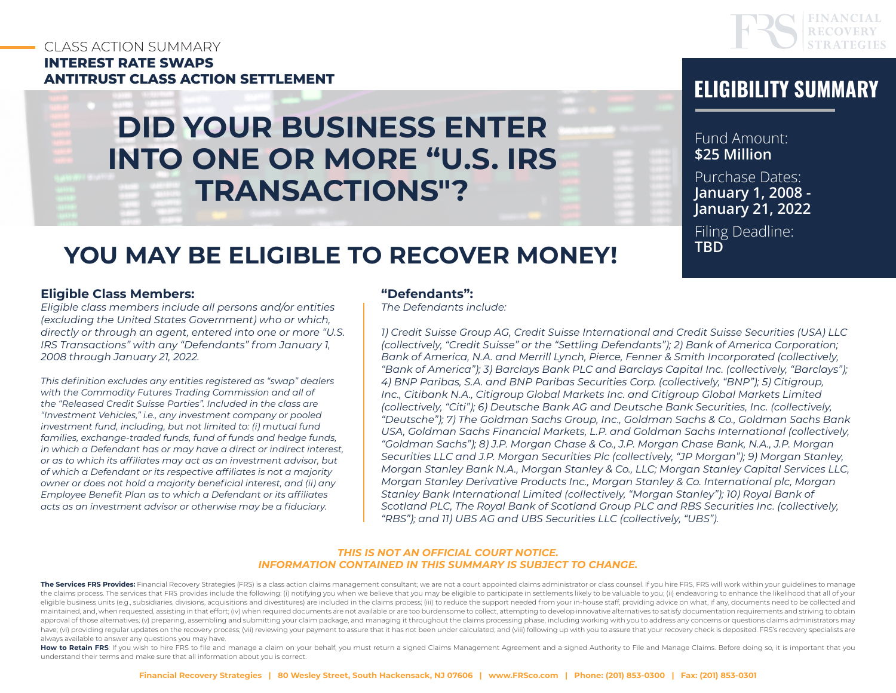# CLASS ACTION SUMMARY **INTEREST RATE SWAPS ANTITRUST CLASS ACTION SETTLEMENT ELIGIBILITY SUMMARY**

# **DID YOUR BUSINESS ENTER INTO ONE OR MORE "U.S. IRS TRANSACTIONS"?**



Fund Amount: **\$25 Million** Purchase Dates: **January 1, 2008 - January 21, 2022**

Filing Deadline: **TBD**

# **YOU MAY BE ELIGIBLE TO RECOVER MONEY!**

#### **Eligible Class Members:**

*Eligible class members include all persons and/or entities (excluding the United States Government) who or which, directly or through an agent, entered into one or more "U.S. IRS Transactions" with any "Defendants" from January 1, 2008 through January 21, 2022.* 

*This definition excludes any entities registered as "swap" dealers with the Commodity Futures Trading Commission and all of the "Released Credit Suisse Parties". Included in the class are "Investment Vehicles," i.e., any investment company or pooled investment fund, including, but not limited to: (i) mutual fund families, exchange-traded funds, fund of funds and hedge funds, in which a Defendant has or may have a direct or indirect interest, or as to which its affiliates may act as an investment advisor, but of which a Defendant or its respective affiliates is not a majority owner or does not hold a majority beneficial interest, and (ii) any Employee Benefit Plan as to which a Defendant or its affiliates acts as an investment advisor or otherwise may be a fiduciary.*

#### **"Defendants":**

*The Defendants include:* 

*1) Credit Suisse Group AG, Credit Suisse International and Credit Suisse Securities (USA) LLC (collectively, "Credit Suisse" or the "Settling Defendants"); 2) Bank of America Corporation; Bank of America, N.A. and Merrill Lynch, Pierce, Fenner & Smith Incorporated (collectively, "Bank of America"); 3) Barclays Bank PLC and Barclays Capital Inc. (collectively, "Barclays"); 4) BNP Paribas, S.A. and BNP Paribas Securities Corp. (collectively, "BNP"); 5) Citigroup, Inc., Citibank N.A., Citigroup Global Markets Inc. and Citigroup Global Markets Limited (collectively, "Citi"); 6) Deutsche Bank AG and Deutsche Bank Securities, Inc. (collectively, "Deutsche"); 7) The Goldman Sachs Group, Inc., Goldman Sachs & Co., Goldman Sachs Bank USA, Goldman Sachs Financial Markets, L.P. and Goldman Sachs International (collectively, "Goldman Sachs"); 8) J.P. Morgan Chase & Co., J.P. Morgan Chase Bank, N.A., J.P. Morgan Securities LLC and J.P. Morgan Securities Plc (collectively, "JP Morgan"); 9) Morgan Stanley, Morgan Stanley Bank N.A., Morgan Stanley & Co., LLC; Morgan Stanley Capital Services LLC, Morgan Stanley Derivative Products Inc., Morgan Stanley & Co. International plc, Morgan Stanley Bank International Limited (collectively, "Morgan Stanley"); 10) Royal Bank of Scotland PLC, The Royal Bank of Scotland Group PLC and RBS Securities Inc. (collectively, "RBS"); and 11) UBS AG and UBS Securities LLC (collectively, "UBS").*

#### *THIS IS NOT AN OFFICIAL COURT NOTICE. INFORMATION CONTAINED IN THIS SUMMARY IS SUBJECT TO CHANGE.*

The Services FRS Provides: Financial Recovery Strategies (FRS) is a class action claims management consultant; we are not a court appointed claims administrator or class counsel. If you hire FRS, FRS will work within your the claims process. The services that FRS provides include the following: (i) notifying you when we believe that you may be eligible to participate in settlements likely to be valuable to you; (ii) endeavoring to enhance t eligible business units (e.g., subsidiaries, divisions, acquisitions and divestitures) are included in the claims process; (iii) to reduce the support needed from your in-house staff, providing advice on what, if any, docu maintained, and, when requested, assisting in that effort; (iv) when required documents are not available or are too burdensome to collect, attempting to develop innovative alternatives to satisfy documentation requirement approval of those alternatives; (v) preparing, assembling and submitting your claim package, and managing it throughout the claims processing phase, including working with you to address any concerns or questions claims ad have; (vi) providing regular updates on the recovery process; (vii) reviewing your payment to assure that it has not been under calculated; and (viii) following up with you to assure that your recovery check is deposited. always available to answer any questions you may have.

How to Retain FRS: If you wish to hire FRS to file and manage a claim on your behalf, you must return a signed Claims Management Agreement and a signed Authority to File and Manage Claims. Before doing so, it is important understand their terms and make sure that all information about you is correct.